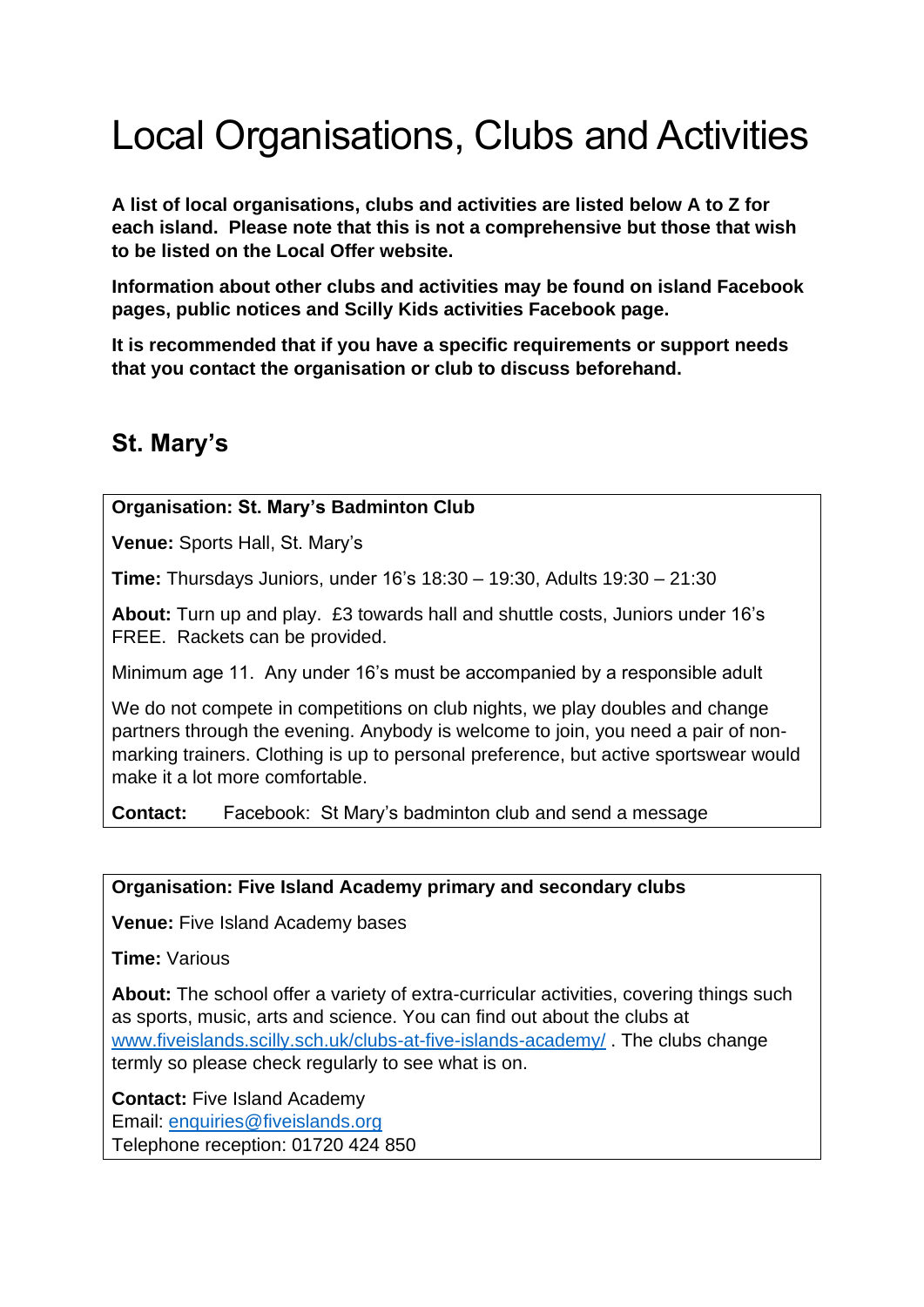# Local Organisations, Clubs and Activities

**A list of local organisations, clubs and activities are listed below A to Z for each island. Please note that this is not a comprehensive but those that wish to be listed on the Local Offer website.**

**Information about other clubs and activities may be found on island Facebook pages, public notices and Scilly Kids activities Facebook page.** 

**It is recommended that if you have a specific requirements or support needs that you contact the organisation or club to discuss beforehand.**

# **St. Mary's**

# **Organisation: St. Mary's Badminton Club**

**Venue:** Sports Hall, St. Mary's

**Time:** Thursdays Juniors, under 16's 18:30 – 19:30, Adults 19:30 – 21:30

**About:** Turn up and play. £3 towards hall and shuttle costs, Juniors under 16's FREE. Rackets can be provided.

Minimum age 11. Any under 16's must be accompanied by a responsible adult

We do not compete in competitions on club nights, we play doubles and change partners through the evening. Anybody is welcome to join, you need a pair of nonmarking trainers. Clothing is up to personal preference, but active sportswear would make it a lot more comfortable.

**Contact:** Facebook: St Mary's badminton club and send a message

# **Organisation: Five Island Academy primary and secondary clubs**

**Venue:** Five Island Academy bases

**Time:** Various

**About:** The school offer a variety of extra-curricular activities, covering things such as sports, music, arts and science. You can find out about the clubs at [www.fiveislands.scilly.sch.uk/clubs-at-five-islands-academy/](http://www.fiveislands.scilly.sch.uk/clubs-at-five-islands-academy/) . The clubs change termly so please check regularly to see what is on.

**Contact:** Five Island Academy Email: [enquiries@fiveislands.org](mailto:enquiries@fiveislands.org) Telephone reception: 01720 424 850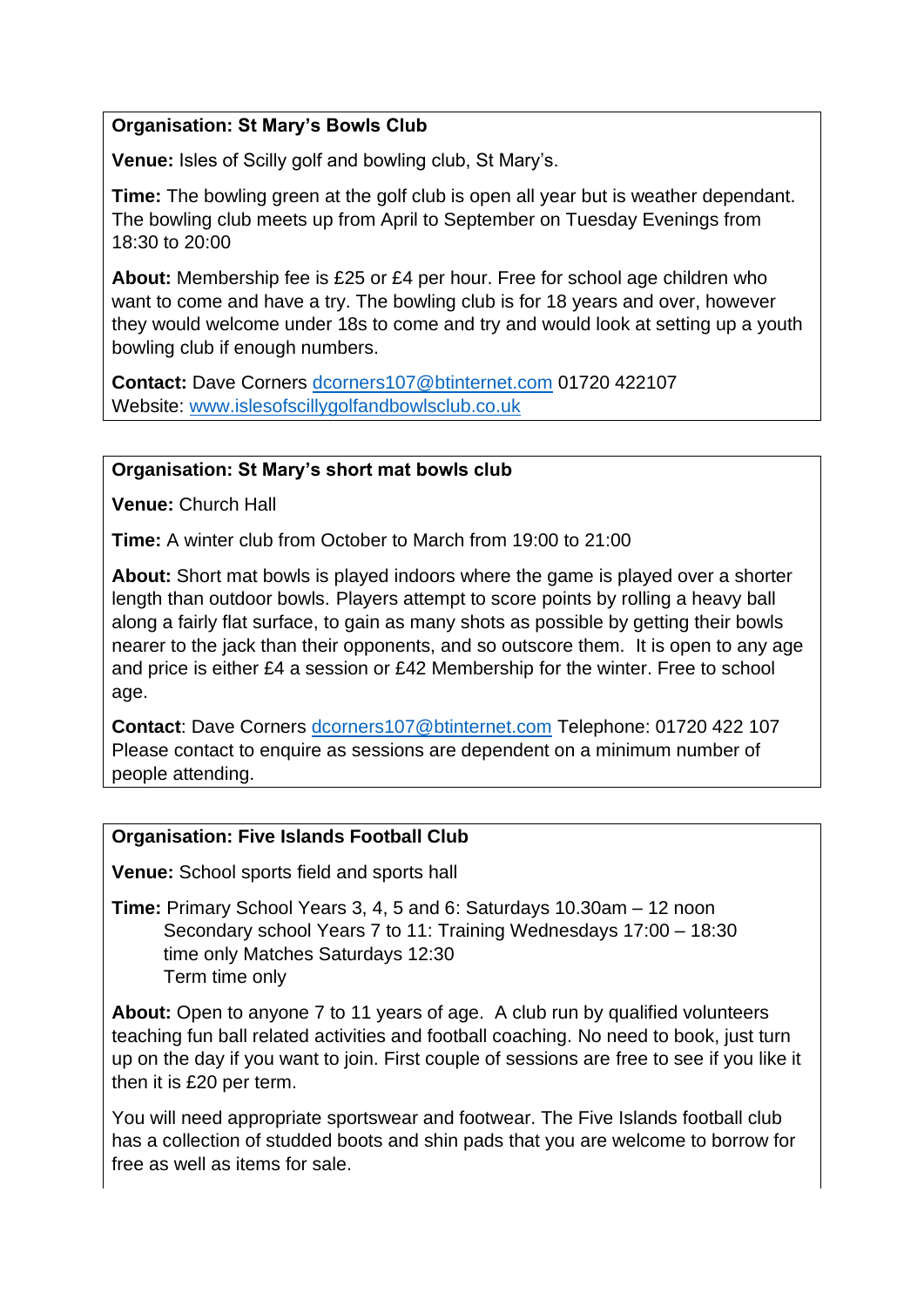#### **Organisation: St Mary's Bowls Club**

**Venue:** Isles of Scilly golf and bowling club, St Mary's.

**Time:** The bowling green at the golf club is open all year but is weather dependant. The bowling club meets up from April to September on Tuesday Evenings from 18:30 to 20:00

**About:** Membership fee is £25 or £4 per hour. Free for school age children who want to come and have a try. The bowling club is for 18 years and over, however they would welcome under 18s to come and try and would look at setting up a youth bowling club if enough numbers.

**Contact:** Dave Corners [dcorners107@btinternet.com](mailto:dcorners107@btinternet.com) 01720 422107 Website: [www.islesofscillygolfandbowlsclub.co.uk](http://www.islesofscillygolfandbowlsclub.co.uk/)

#### **Organisation: St Mary's short mat bowls club**

**Venue:** Church Hall

**Time:** A winter club from October to March from 19:00 to 21:00

**About:** Short mat bowls is played indoors where the game is played over a shorter length than outdoor bowls. Players attempt to score points by rolling a heavy ball along a fairly flat surface, to gain as many shots as possible by getting their bowls nearer to the jack than their opponents, and so outscore them. It is open to any age and price is either £4 a session or £42 Membership for the winter. Free to school age.

**Contact**: Dave Corners [dcorners107@btinternet.com](mailto:dcorners107@btinternet.com) Telephone: 01720 422 107 Please contact to enquire as sessions are dependent on a minimum number of people attending.

#### **Organisation: Five Islands Football Club**

**Venue:** School sports field and sports hall

**Time:** Primary School Years 3, 4, 5 and 6: Saturdays 10.30am – 12 noon Secondary school Years 7 to 11: Training Wednesdays 17:00 – 18:30 time only Matches Saturdays 12:30 Term time only

**About:** Open to anyone 7 to 11 years of age.A club run by qualified volunteers teaching fun ball related activities and football coaching. No need to book, just turn up on the day if you want to join. First couple of sessions are free to see if you like it then it is £20 per term.

You will need appropriate sportswear and footwear. The Five Islands football club has a collection of studded boots and shin pads that you are welcome to borrow for free as well as items for sale.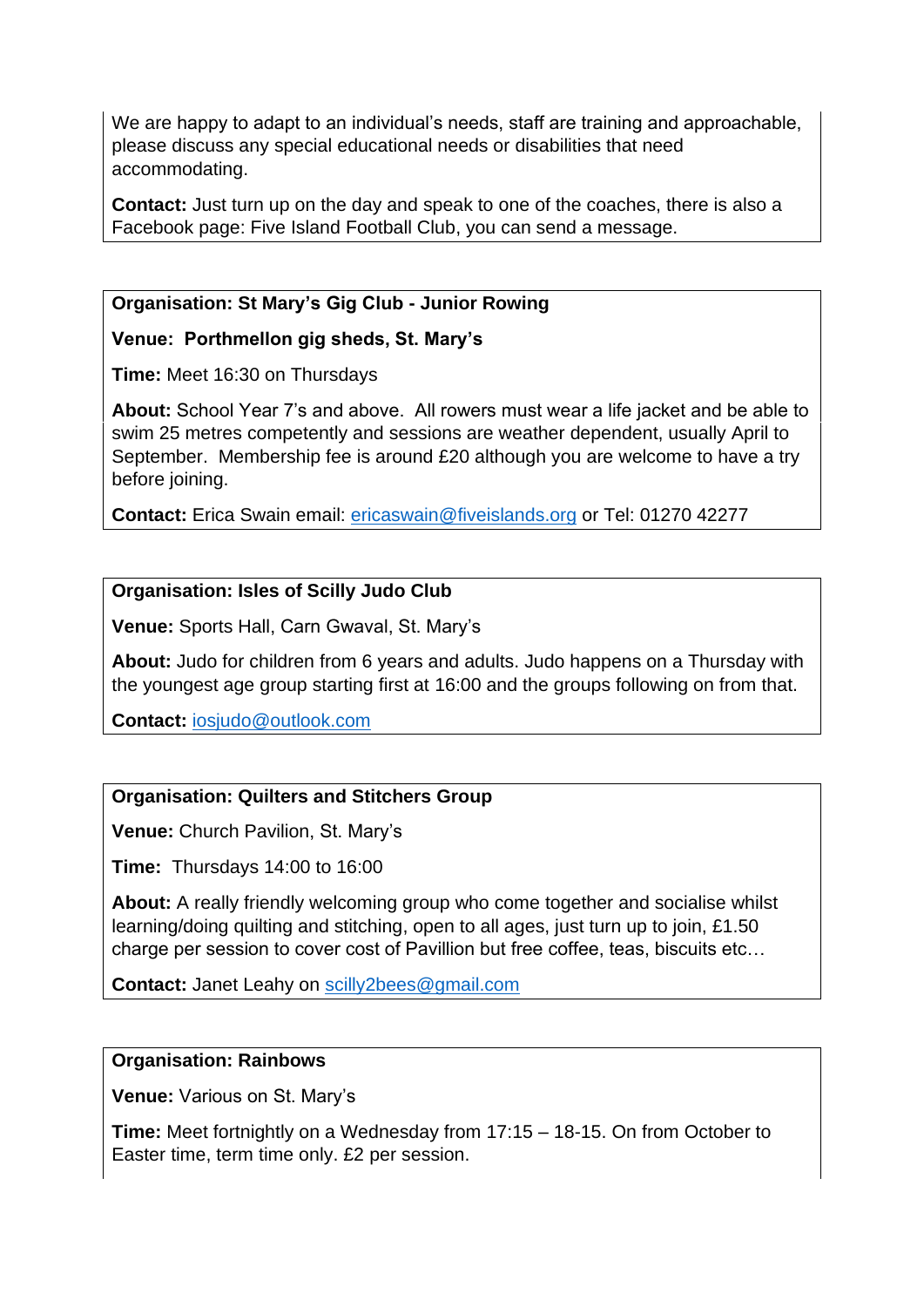We are happy to adapt to an individual's needs, staff are training and approachable, please discuss any special educational needs or disabilities that need accommodating.

**Contact:** Just turn up on the day and speak to one of the coaches, there is also a Facebook page: Five Island Football Club, you can send a message.

# **Organisation: St Mary's Gig Club - Junior Rowing**

# **Venue: Porthmellon gig sheds, St. Mary's**

**Time:** Meet 16:30 on Thursdays

**About:** School Year 7's and above. All rowers must wear a life jacket and be able to swim 25 metres competently and sessions are weather dependent, usually April to September. Membership fee is around £20 although you are welcome to have a try before joining.

**Contact:** Erica Swain email: [ericaswain@fiveislands.org](mailto:ericaswain@fiveislands.org) or Tel: 01270 42277

# **Organisation: Isles of Scilly Judo Club**

**Venue:** Sports Hall, Carn Gwaval, St. Mary's

**About:** Judo for children from 6 years and adults. Judo happens on a Thursday with the youngest age group starting first at 16:00 and the groups following on from that.

**Contact:** [iosjudo@outlook.com](mailto:iosjudo@outlook.com)

# **Organisation: Quilters and Stitchers Group**

**Venue:** Church Pavilion, St. Mary's

**Time:** Thursdays 14:00 to 16:00

**About:** A really friendly welcoming group who come together and socialise whilst learning/doing quilting and stitching, open to all ages, just turn up to join, £1.50 charge per session to cover cost of Pavillion but free coffee, teas, biscuits etc…

**Contact:** Janet Leahy on [scilly2bees@gmail.com](mailto:scilly2bees@gmail.com)

#### **Organisation: Rainbows**

**Venue:** Various on St. Mary's

**Time:** Meet fortnightly on a Wednesday from 17:15 – 18-15. On from October to Easter time, term time only. £2 per session.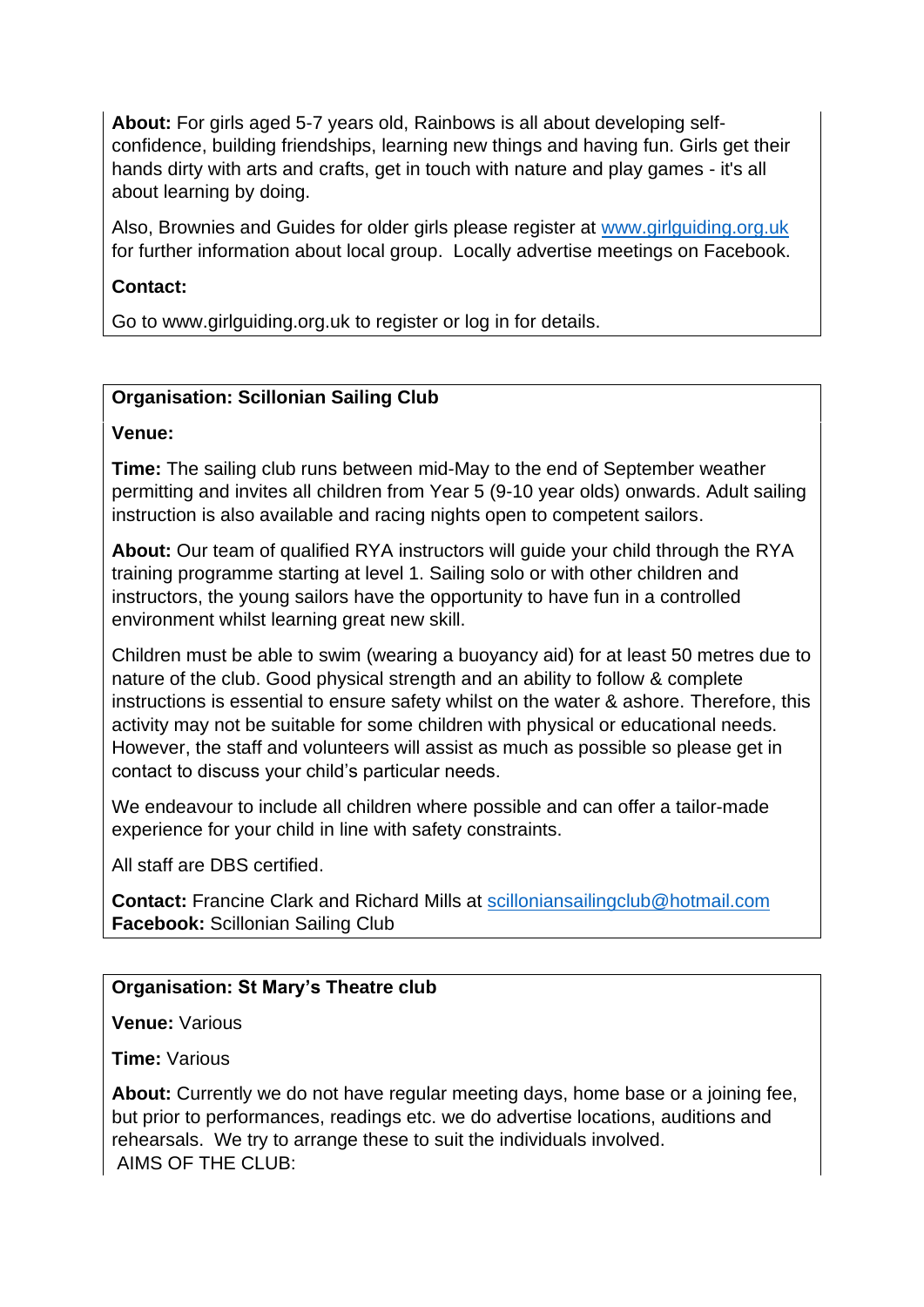**About:** For girls aged 5-7 years old, Rainbows is all about developing selfconfidence, building friendships, learning new things and having fun. Girls get their hands dirty with arts and crafts, get in touch with nature and play games - it's all about learning by doing.

Also, Brownies and Guides for older girls please register at [www.girlguiding.org.uk](http://www.girlguiding.org.uk/)  for further information about local group. Locally advertise meetings on Facebook.

# **Contact:**

Go to [www.girlguiding.org.uk](http://www.girlguiding.org.uk/) to register or log in for details.

# **Organisation: Scillonian Sailing Club**

#### **Venue:**

**Time:** The sailing club runs between mid-May to the end of September weather permitting and invites all children from Year 5 (9-10 year olds) onwards. Adult sailing instruction is also available and racing nights open to competent sailors.

**About:** Our team of qualified RYA instructors will guide your child through the RYA training programme starting at level 1. Sailing solo or with other children and instructors, the young sailors have the opportunity to have fun in a controlled environment whilst learning great new skill.

Children must be able to swim (wearing a buoyancy aid) for at least 50 metres due to nature of the club. Good physical strength and an ability to follow & complete instructions is essential to ensure safety whilst on the water & ashore. Therefore, this activity may not be suitable for some children with physical or educational needs. However, the staff and volunteers will assist as much as possible so please get in contact to discuss your child's particular needs.

We endeavour to include all children where possible and can offer a tailor-made experience for your child in line with safety constraints.

All staff are DBS certified.

**Contact:** Francine Clark and Richard Mills at [scilloniansailingclub@hotmail.com](mailto:scilloniansailingclub@hotmail.com) **Facebook:** Scillonian Sailing Club

# **Organisation: St Mary's Theatre club**

**Venue:** Various

**Time:** Various

**About:** Currently we do not have regular meeting days, home base or a joining fee, but prior to performances, readings etc. we do advertise locations, auditions and rehearsals. We try to arrange these to suit the individuals involved. AIMS OF THE CLUB: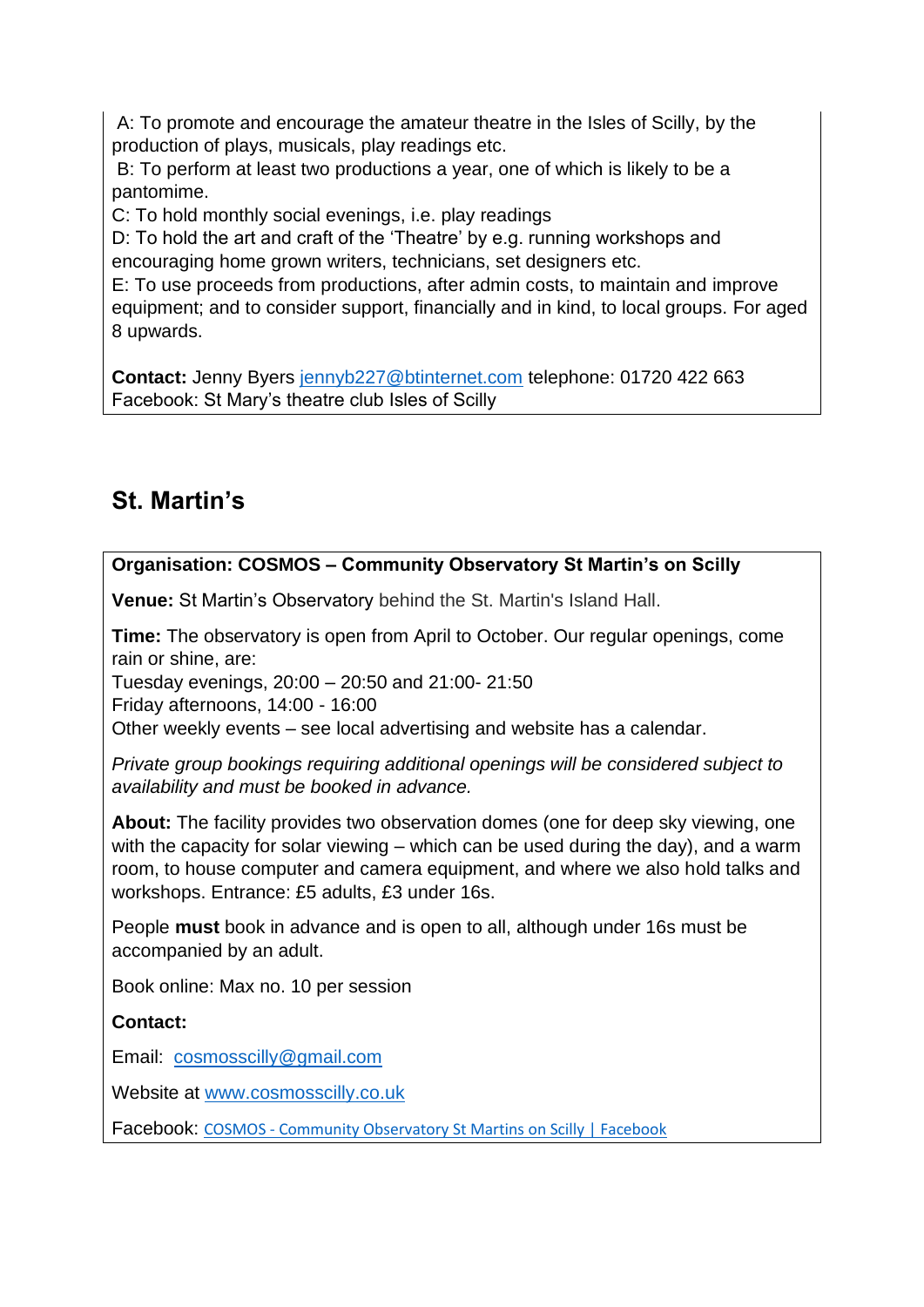A: To promote and encourage the amateur theatre in the Isles of Scilly, by the production of plays, musicals, play readings etc.

B: To perform at least two productions a year, one of which is likely to be a pantomime.

C: To hold monthly social evenings, i.e. play readings

D: To hold the art and craft of the 'Theatre' by e.g. running workshops and encouraging home grown writers, technicians, set designers etc.

E: To use proceeds from productions, after admin costs, to maintain and improve equipment; and to consider support, financially and in kind, to local groups. For aged 8 upwards.

**Contact:** Jenny Byers [jennyb227@btinternet.com](mailto:jennyb227@btinternet.com) telephone: 01720 422 663 Facebook: St Mary's theatre club Isles of Scilly

# **St. Martin's**

# **Organisation: COSMOS – Community Observatory St Martin's on Scilly**

**Venue:** St Martin's Observatory behind the St. Martin's Island Hall.

**Time:** The observatory is open from April to October. Our regular openings, come rain or shine, are:

Tuesday evenings, 20:00 – 20:50 and 21:00- 21:50

Friday afternoons, 14:00 - 16:00

Other weekly events – see local advertising and website has a calendar.

*Private group bookings requiring additional openings will be considered subject to availability and must be booked in advance.*

**About:** The facility provides two observation domes (one for deep sky viewing, one with the capacity for solar viewing – which can be used during the day), and a warm room, to house computer and camera equipment, and where we also hold talks and workshops. Entrance: £5 adults, £3 under 16s.

People **must** book in advance and is open to all, although under 16s must be accompanied by an adult.

Book online: Max no. 10 per session

# **Contact:**

Email: [cosmosscilly@gmail.com](mailto:cosmosscilly@gmail.com)

Website at [www.cosmosscilly.co.uk](http://www.cosmosscilly.co.uk/)

Facebook: COSMOS - [Community Observatory St Martins on Scilly | Facebook](https://www.facebook.com/groups/479076592280688/)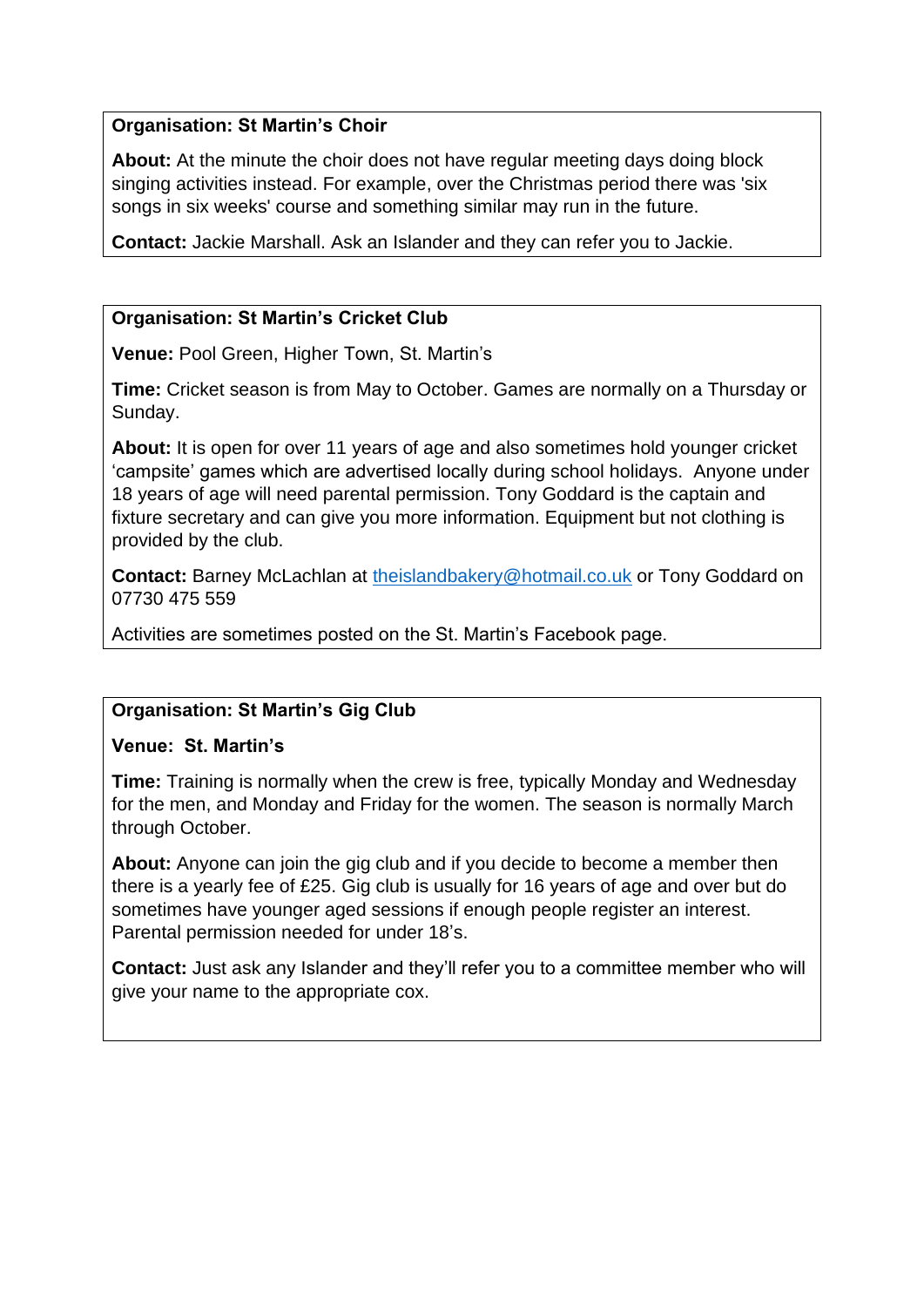#### **Organisation: St Martin's Choir**

**About:** At the minute the choir does not have regular meeting days doing block singing activities instead. For example, over the Christmas period there was 'six songs in six weeks' course and something similar may run in the future.

**Contact:** Jackie Marshall. Ask an Islander and they can refer you to Jackie.

# **Organisation: St Martin's Cricket Club**

**Venue:** Pool Green, Higher Town, St. Martin's

**Time:** Cricket season is from May to October. Games are normally on a Thursday or Sunday.

**About:** It is open for over 11 years of age and also sometimes hold younger cricket 'campsite' games which are advertised locally during school holidays. Anyone under 18 years of age will need parental permission. Tony Goddard is the captain and fixture secretary and can give you more information. Equipment but not clothing is provided by the club.

**Contact:** Barney McLachlan at [theislandbakery@hotmail.co.uk](mailto:theislandbakery@hotmail.co.uk) or Tony Goddard on 07730 475 559

Activities are sometimes posted on the St. Martin's Facebook page.

# **Organisation: St Martin's Gig Club**

# **Venue: St. Martin's**

**Time:** Training is normally when the crew is free, typically Monday and Wednesday for the men, and Monday and Friday for the women. The season is normally March through October.

**About:** Anyone can join the gig club and if you decide to become a member then there is a yearly fee of £25. Gig club is usually for 16 years of age and over but do sometimes have younger aged sessions if enough people register an interest. Parental permission needed for under 18's.

**Contact:** Just ask any Islander and they'll refer you to a committee member who will give your name to the appropriate cox.